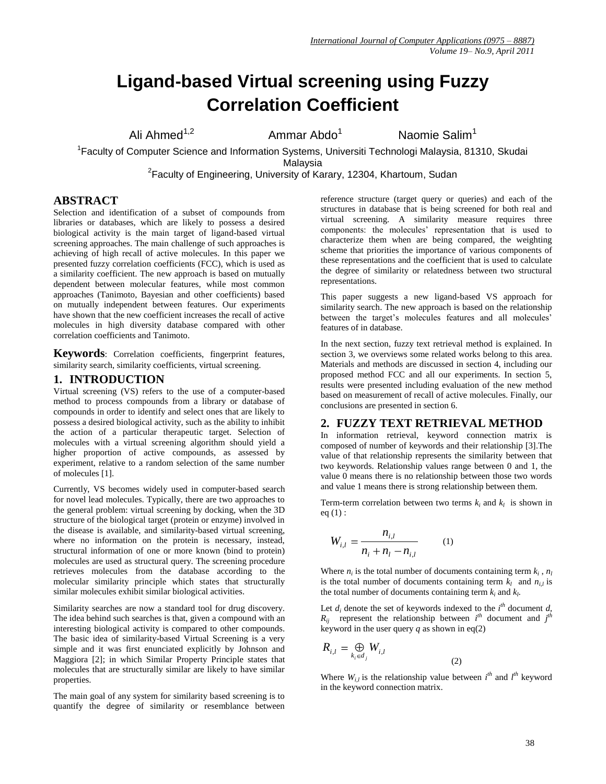# **Ligand-based Virtual screening using Fuzzy Correlation Coefficient**

Ali Ahmed<sup>1,2</sup>

Ammar Abdo<sup>1</sup>

Naomie Salim<sup>1</sup>

<sup>1</sup> Faculty of Computer Science and Information Systems, Universiti Technologi Malaysia, 81310, Skudai Malaysia

<sup>2</sup> Faculty of Engineering, University of Karary, 12304, Khartoum, Sudan

# **ABSTRACT**

Selection and identification of a subset of compounds from libraries or databases, which are likely to possess a desired biological activity is the main target of ligand-based virtual screening approaches. The main challenge of such approaches is achieving of high recall of active molecules. In this paper we presented fuzzy correlation coefficients (FCC), which is used as a similarity coefficient. The new approach is based on mutually dependent between molecular features, while most common approaches (Tanimoto, Bayesian and other coefficients) based on mutually independent between features. Our experiments have shown that the new coefficient increases the recall of active molecules in high diversity database compared with other correlation coefficients and Tanimoto.

**Keywords**: Correlation coefficients, fingerprint features, similarity search, similarity coefficients, virtual screening.

## **1. INTRODUCTION**

Virtual screening (VS) refers to the use of a computer-based method to process compounds from a library or database of compounds in order to identify and select ones that are likely to possess a desired biological activity, such as the ability to inhibit the action of a particular therapeutic target. Selection of molecules with a virtual screening algorithm should yield a higher proportion of active compounds, as assessed by experiment, relative to a random selection of the same number of molecules [1].

Currently, VS becomes widely used in computer-based search for novel lead molecules. Typically, there are two approaches to the general problem: virtual screening by docking, when the 3D structure of the biological target (protein or enzyme) involved in the disease is available, and similarity-based virtual screening, where no information on the protein is necessary, instead, structural information of one or more known (bind to protein) molecules are used as structural query. The screening procedure retrieves molecules from the database according to the molecular similarity principle which states that structurally similar molecules exhibit similar biological activities.

Similarity searches are now a standard tool for drug discovery. The idea behind such searches is that, given a compound with an interesting biological activity is compared to other compounds. The basic idea of similarity-based Virtual Screening is a very simple and it was first enunciated explicitly by Johnson and Maggiora [2]; in which Similar Property Principle states that molecules that are structurally similar are likely to have similar properties.

The main goal of any system for similarity based screening is to quantify the degree of similarity or resemblance between

reference structure (target query or queries) and each of the structures in database that is being screened for both real and virtual screening. A similarity measure requires three components: the molecules' representation that is used to characterize them when are being compared, the weighting scheme that priorities the importance of various components of these representations and the coefficient that is used to calculate the degree of similarity or relatedness between two structural representations.

This paper suggests a new ligand-based VS approach for similarity search. The new approach is based on the relationship between the target's molecules features and all molecules' features of in database.

In the next section, fuzzy text retrieval method is explained. In section 3, we overviews some related works belong to this area. Materials and methods are discussed in section 4, including our proposed method FCC and all our experiments. In section 5, results were presented including evaluation of the new method based on measurement of recall of active molecules. Finally, our conclusions are presented in section 6.

## **2. FUZZY TEXT RETRIEVAL METHOD**

In information retrieval, keyword connection matrix is composed of number of keywords and their relationship [3].The value of that relationship represents the similarity between that two keywords. Relationship values range between 0 and 1, the value 0 means there is no relationship between those two words and value 1 means there is strong relationship between them.

Term-term correlation between two terms  $k_i$  and  $k_l$  is shown in  $eq(1)$ :

$$
W_{i,l} = \frac{n_{i,l}}{n_i + n_l - n_{i,l}} \qquad (1)
$$

Where  $n_i$  is the total number of documents containing term  $k_i$ ,  $n_l$ is the total number of documents containing term  $k_l$  and  $n_{i,l}$  is the total number of documents containing term  $k_i$  and  $k_l$ .

Let  $d_i$  denote the set of keywords indexed to the  $i^{th}$  document  $d_i$  $R_{ij}$  represent the relationship between  $i^{th}$  document and  $j^{th}$ keyword in the user query  $q$  as shown in eq(2)

$$
R_{i,l} = \bigoplus_{k_i \in d_j} W_{i,l}
$$

Where  $W_{i,l}$  is the relationship value between  $i^{th}$  and  $l^{th}$  keyword in the keyword connection matrix.

(2)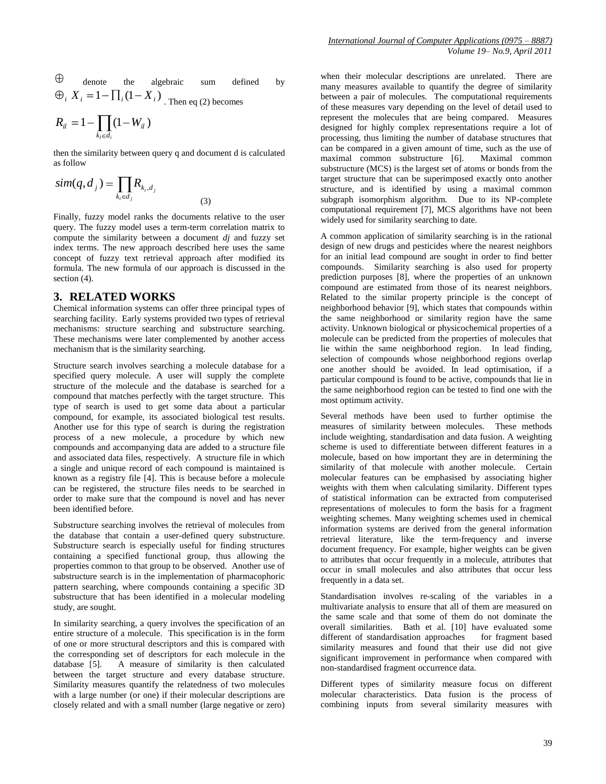$$
R_{il} = 1 - \prod_{k_l \in d_i} (1 - W_{il})
$$

then the similarity between query q and document d is calculated as follow

(3)

$$
sim(q,d_j) = \prod_{k_i \in d_j} R_{k_i,d_j}
$$

Finally, fuzzy model ranks the documents relative to the user query. The fuzzy model uses a term-term correlation matrix to compute the similarity between a document *dj* and fuzzy set index terms. The new approach described here uses the same concept of fuzzy text retrieval approach after modified its formula. The new formula of our approach is discussed in the section  $(4)$ .

# **3. RELATED WORKS**

Chemical information systems can offer three principal types of searching facility. Early systems provided two types of retrieval mechanisms: structure searching and substructure searching. These mechanisms were later complemented by another access mechanism that is the similarity searching.

Structure search involves searching a molecule database for a specified query molecule. A user will supply the complete structure of the molecule and the database is searched for a compound that matches perfectly with the target structure. This type of search is used to get some data about a particular compound, for example, its associated biological test results. Another use for this type of search is during the registration process of a new molecule, a procedure by which new compounds and accompanying data are added to a structure file and associated data files, respectively. A structure file in which a single and unique record of each compound is maintained is known as a registry file [4]. This is because before a molecule can be registered, the structure files needs to be searched in order to make sure that the compound is novel and has never been identified before.

Substructure searching involves the retrieval of molecules from the database that contain a user-defined query substructure. Substructure search is especially useful for finding structures containing a specified functional group, thus allowing the properties common to that group to be observed. Another use of substructure search is in the implementation of pharmacophoric pattern searching, where compounds containing a specific 3D substructure that has been identified in a molecular modeling study, are sought.

In similarity searching, a query involves the specification of an entire structure of a molecule. This specification is in the form of one or more structural descriptors and this is compared with the corresponding set of descriptors for each molecule in the database [5]. A measure of similarity is then calculated between the target structure and every database structure. Similarity measures quantify the relatedness of two molecules with a large number (or one) if their molecular descriptions are closely related and with a small number (large negative or zero) when their molecular descriptions are unrelated. There are many measures available to quantify the degree of similarity between a pair of molecules. The computational requirements of these measures vary depending on the level of detail used to represent the molecules that are being compared. Measures designed for highly complex representations require a lot of processing, thus limiting the number of database structures that can be compared in a given amount of time, such as the use of maximal common substructure [6]. Maximal common substructure (MCS) is the largest set of atoms or bonds from the target structure that can be superimposed exactly onto another structure, and is identified by using a maximal common subgraph isomorphism algorithm. Due to its NP-complete computational requirement [7], MCS algorithms have not been widely used for similarity searching to date.

A common application of similarity searching is in the rational design of new drugs and pesticides where the nearest neighbors for an initial lead compound are sought in order to find better compounds. Similarity searching is also used for property prediction purposes [8], where the properties of an unknown compound are estimated from those of its nearest neighbors. Related to the similar property principle is the concept of neighborhood behavior [9], which states that compounds within the same neighborhood or similarity region have the same activity. Unknown biological or physicochemical properties of a molecule can be predicted from the properties of molecules that lie within the same neighborhood region. In lead finding, selection of compounds whose neighborhood regions overlap one another should be avoided. In lead optimisation, if a particular compound is found to be active, compounds that lie in the same neighborhood region can be tested to find one with the most optimum activity.

Several methods have been used to further optimise the measures of similarity between molecules. These methods include weighting, standardisation and data fusion. A weighting scheme is used to differentiate between different features in a molecule, based on how important they are in determining the similarity of that molecule with another molecule. Certain molecular features can be emphasised by associating higher weights with them when calculating similarity. Different types of statistical information can be extracted from computerised representations of molecules to form the basis for a fragment weighting schemes. Many weighting schemes used in chemical information systems are derived from the general information retrieval literature, like the term-frequency and inverse document frequency. For example, higher weights can be given to attributes that occur frequently in a molecule, attributes that occur in small molecules and also attributes that occur less frequently in a data set.

Standardisation involves re-scaling of the variables in a multivariate analysis to ensure that all of them are measured on the same scale and that some of them do not dominate the overall similarities. Bath et al. [10] have evaluated some different of standardisation approaches for fragment based similarity measures and found that their use did not give significant improvement in performance when compared with non-standardised fragment occurrence data.

Different types of similarity measure focus on different molecular characteristics. Data fusion is the process of combining inputs from several similarity measures with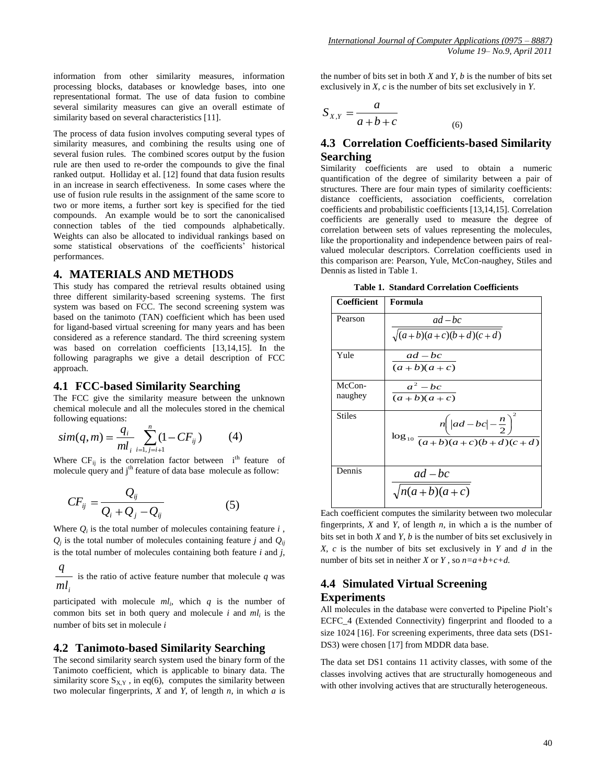information from other similarity measures, information processing blocks, databases or knowledge bases, into one representational format. The use of data fusion to combine several similarity measures can give an overall estimate of similarity based on several characteristics [11].

The process of data fusion involves computing several types of similarity measures, and combining the results using one of several fusion rules. The combined scores output by the fusion rule are then used to re-order the compounds to give the final ranked output. Holliday et al. [12] found that data fusion results in an increase in search effectiveness. In some cases where the use of fusion rule results in the assignment of the same score to two or more items, a further sort key is specified for the tied compounds. An example would be to sort the canonicalised connection tables of the tied compounds alphabetically. Weights can also be allocated to individual rankings based on some statistical observations of the coefficients' historical performances.

# **4. MATERIALS AND METHODS**

This study has compared the retrieval results obtained using three different similarity-based screening systems. The first system was based on FCC. The second screening system was based on the tanimoto (TAN) coefficient which has been used for ligand-based virtual screening for many years and has been considered as a reference standard. The third screening system was based on correlation coefficients [13,14,15]. In the following paragraphs we give a detail description of FCC approach.

#### **4.1 FCC-based Similarity Searching**

The FCC give the similarity measure between the unknown chemical molecule and all the molecules stored in the chemical following equations:

$$
sim(q,m) = \frac{q_i}{ml_i} \sum_{i=1, j=i+1}^{n} (1 - CF_{ij})
$$
 (4)

Where  $CF_{ii}$  is the correlation factor between i<sup>th</sup> feature of molecule query and j<sup>th</sup> feature of data base molecule as follow:

$$
CF_{ij} = \frac{Q_{ij}}{Q_i + Q_j - Q_{ij}}\tag{5}
$$

Where  $Q_i$  is the total number of molecules containing feature  $i$ ,  $Q_j$  is the total number of molecules containing feature *j* and  $Q_{ij}$ is the total number of molecules containing both feature *i* and *j*,

 $ml<sub>i</sub>$ *q*  $\sim$  is the ratio of active feature number that molecule *q* was

participated with molecule *ml<sup>i</sup>* , which *q* is the number of common bits set in both query and molecule *i* and *ml<sup>i</sup>* is the number of bits set in molecule *i*

#### **4.2 Tanimoto-based Similarity Searching**

The second similarity search system used the binary form of the Tanimoto coefficient, which is applicable to binary data. The similarity score  $S_{X,Y}$ , in eq(6), computes the similarity between two molecular fingerprints, *X* and *Y*, of length *n*, in which *a* is the number of bits set in both  $X$  and  $Y$ ,  $b$  is the number of bits set exclusively in *X*, *c* is the number of bits set exclusively in *Y*.

$$
S_{X,Y} = \frac{a}{a+b+c}
$$
 (6)

# **4.3 Correlation Coefficients-based Similarity Searching**

Similarity coefficients are used to obtain a numeric quantification of the degree of similarity between a pair of structures. There are four main types of similarity coefficients: distance coefficients, association coefficients, correlation coefficients and probabilistic coefficients [13,14,15]. Correlation coefficients are generally used to measure the degree of correlation between sets of values representing the molecules, like the proportionality and independence between pairs of realvalued molecular descriptors. Correlation coefficients used in this comparison are: Pearson, Yule, McCon-naughey, Stiles and Dennis as listed in Table 1.

|  | Table 1. Standard Correlation Coefficients |  |  |  |
|--|--------------------------------------------|--|--|--|
|--|--------------------------------------------|--|--|--|

| Coefficient         | Formula                                                                           |
|---------------------|-----------------------------------------------------------------------------------|
| Pearson             | $ad-bc$<br>$\sqrt{(a+b)(a+c)(b+d)(c+d)}$                                          |
| Yule                | $ad-bc$<br>$(a+b)(a+c)$                                                           |
| $McCon-$<br>naughey | $a^2-bc$<br>$(a+b)(a+c)$                                                          |
| <b>Stiles</b>       | $\log_{10} \frac{n \left(  ad-bc  - \frac{n}{2} \right)^2}{(a+b)(a+c)(b+d)(c+d)}$ |
| Dennis              | $ad-bc$<br>$\sqrt{n(a+b)(a+c)}$                                                   |

Each coefficient computes the similarity between two molecular fingerprints, *X* and *Y*, of length *n*, in which a is the number of bits set in both *X* and *Y*, *b* is the number of bits set exclusively in *X*, *c* is the number of bits set exclusively in *Y* and *d* in the number of bits set in neither *X* or *Y* , so *n=a+b+c+d.*

# **4.4 Simulated Virtual Screening Experiments**

All molecules in the database were converted to Pipeline Piolt's ECFC\_4 (Extended Connectivity) fingerprint and flooded to a size 1024 [16]. For screening experiments, three data sets (DS1- DS3) were chosen [17] from MDDR data base.

The data set DS1 contains 11 activity classes, with some of the classes involving actives that are structurally homogeneous and with other involving actives that are structurally heterogeneous.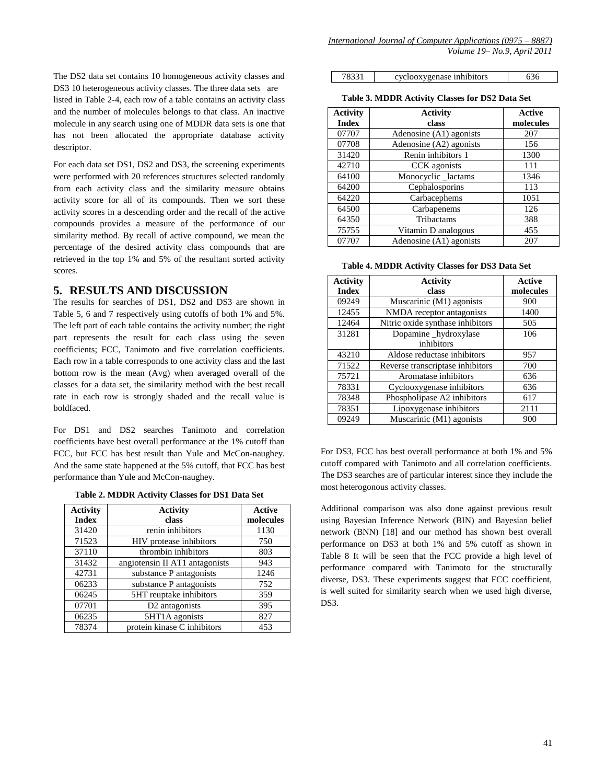The DS2 data set contains 10 homogeneous activity classes and DS3 10 heterogeneous activity classes. The three data sets are listed in Table 2-4, each row of a table contains an activity class and the number of molecules belongs to that class. An inactive molecule in any search using one of MDDR data sets is one that has not been allocated the appropriate database activity descriptor.

For each data set DS1, DS2 and DS3, the screening experiments were performed with 20 references structures selected randomly from each activity class and the similarity measure obtains activity score for all of its compounds. Then we sort these activity scores in a descending order and the recall of the active compounds provides a measure of the performance of our similarity method. By recall of active compound, we mean the percentage of the desired activity class compounds that are retrieved in the top 1% and 5% of the resultant sorted activity scores.

# **5. RESULTS AND DISCUSSION**

The results for searches of DS1, DS2 and DS3 are shown in Table 5, 6 and 7 respectively using cutoffs of both 1% and 5%. The left part of each table contains the activity number; the right part represents the result for each class using the seven coefficients; FCC, Tanimoto and five correlation coefficients. Each row in a table corresponds to one activity class and the last bottom row is the mean (Avg) when averaged overall of the classes for a data set, the similarity method with the best recall rate in each row is strongly shaded and the recall value is boldfaced.

For DS1 and DS2 searches Tanimoto and correlation coefficients have best overall performance at the 1% cutoff than FCC, but FCC has best result than Yule and McCon-naughey. And the same state happened at the 5% cutoff, that FCC has best performance than Yule and McCon-naughey.

| Table 2. MDDR Activity Classes for DS1 Data Set |  |  |  |  |
|-------------------------------------------------|--|--|--|--|
|-------------------------------------------------|--|--|--|--|

| <b>Activity</b> | <b>Activity</b>                | Active    |
|-----------------|--------------------------------|-----------|
| <b>Index</b>    | class                          | molecules |
| 31420           | renin inhibitors               | 1130      |
| 71523           | HIV protease inhibitors        | 750       |
| 37110           | thrombin inhibitors            | 803       |
| 31432           | angiotensin II AT1 antagonists | 943       |
| 42731           | substance P antagonists        | 1246      |
| 06233           | substance P antagonists        | 752       |
| 06245           | 5HT reuptake inhibitors        | 359       |
| 07701           | D <sub>2</sub> antagonists     | 395       |
| 06235           | 5HT1A agonists                 | 827       |
| 78374           | protein kinase C inhibitors    | 453       |

| 78331 | cyclooxygenase inhibitors | 636 |
|-------|---------------------------|-----|
|-------|---------------------------|-----|

**Table 3. MDDR Activity Classes for DS2 Data Set**

| <b>Activity</b> | <b>Activity</b>         | <b>Active</b> |
|-----------------|-------------------------|---------------|
| <b>Index</b>    | class                   | molecules     |
| 07707           | Adenosine (A1) agonists | 207           |
| 07708           | Adenosine (A2) agonists | 156           |
| 31420           | Renin inhibitors 1      | 1300          |
| 42710           | CCK agonists            | 111           |
| 64100           | Monocyclic_lactams      | 1346          |
| 64200           | Cephalosporins          | 113           |
| 64220           | Carbacephems            | 1051          |
| 64500           | Carbapenems             | 126           |
| 64350           | Tribactams              | 388           |
| 75755           | Vitamin D analogous     | 455           |
| 07707           | Adenosine (A1) agonists | 207           |

**Table 4. MDDR Activity Classes for DS3 Data Set**

| <b>Activity</b><br><b>Index</b> | <b>Activity</b><br>class         | <b>Active</b><br>molecules |
|---------------------------------|----------------------------------|----------------------------|
| 09249                           | Muscarinic (M1) agonists         | 900                        |
| 12455                           | NMDA receptor antagonists        | 1400                       |
| 12464                           | Nitric oxide synthase inhibitors | 505                        |
| 31281                           | Dopamine_hydroxylase             | 106                        |
|                                 | inhibitors                       |                            |
| 43210                           | Aldose reductase inhibitors      | 957                        |
| 71522                           | Reverse transcriptase inhibitors | 700                        |
| 75721                           | Aromatase inhibitors             | 636                        |
| 78331                           | Cyclooxygenase inhibitors        | 636                        |
| 78348                           | Phospholipase A2 inhibitors      | 617                        |
| 78351                           | Lipoxygenase inhibitors          | 2111                       |
| 09249                           | Muscarinic (M1) agonists         | 900                        |

For DS3, FCC has best overall performance at both 1% and 5% cutoff compared with Tanimoto and all correlation coefficients. The DS3 searches are of particular interest since they include the most heterogonous activity classes.

Additional comparison was also done against previous result using Bayesian Inference Network (BIN) and Bayesian belief network (BNN) [18] and our method has shown best overall performance on DS3 at both 1% and 5% cutoff as shown in Table 8 It will be seen that the FCC provide a high level of performance compared with Tanimoto for the structurally diverse, DS3. These experiments suggest that FCC coefficient, is well suited for similarity search when we used high diverse, DS3.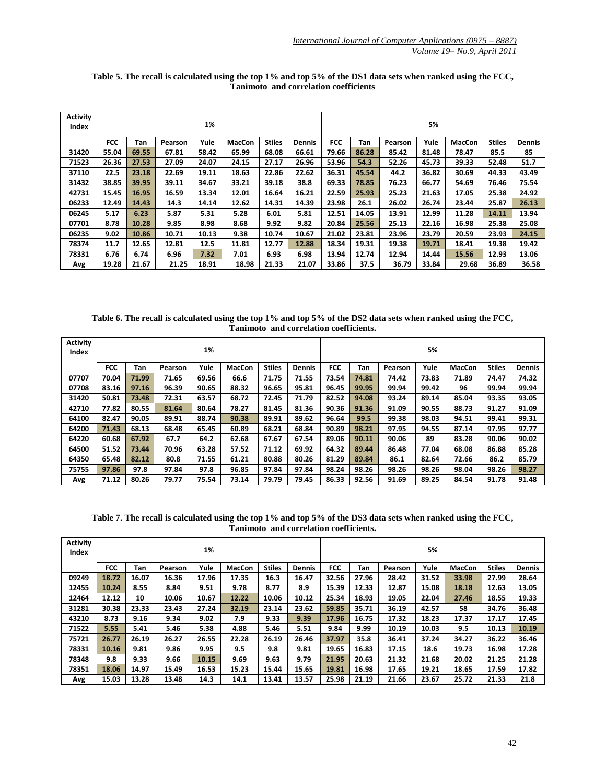| <b>Activity</b><br>Index | 1%         |       |         |       |        |               | 5%            |            |       |         |       |               |               |               |
|--------------------------|------------|-------|---------|-------|--------|---------------|---------------|------------|-------|---------|-------|---------------|---------------|---------------|
|                          | <b>FCC</b> | Tan   | Pearson | Yule  | MacCon | <b>Stiles</b> | <b>Dennis</b> | <b>FCC</b> | Tan   | Pearson | Yule  | <b>MacCon</b> | <b>Stiles</b> | <b>Dennis</b> |
| 31420                    | 55.04      | 69.55 | 67.81   | 58.42 | 65.99  | 68.08         | 66.61         | 79.66      | 86.28 | 85.42   | 81.48 | 78.47         | 85.5          | 85            |
| 71523                    | 26.36      | 27.53 | 27.09   | 24.07 | 24.15  | 27.17         | 26.96         | 53.96      | 54.3  | 52.26   | 45.73 | 39.33         | 52.48         | 51.7          |
| 37110                    | 22.5       | 23.18 | 22.69   | 19.11 | 18.63  | 22.86         | 22.62         | 36.31      | 45.54 | 44.2    | 36.82 | 30.69         | 44.33         | 43.49         |
| 31432                    | 38.85      | 39.95 | 39.11   | 34.67 | 33.21  | 39.18         | 38.8          | 69.33      | 78.85 | 76.23   | 66.77 | 54.69         | 76.46         | 75.54         |
| 42731                    | 15.45      | 16.95 | 16.59   | 13.34 | 12.01  | 16.64         | 16.21         | 22.59      | 25.93 | 25.23   | 21.63 | 17.05         | 25.38         | 24.92         |
| 06233                    | 12.49      | 14.43 | 14.3    | 14.14 | 12.62  | 14.31         | 14.39         | 23.98      | 26.1  | 26.02   | 26.74 | 23.44         | 25.87         | 26.13         |
| 06245                    | 5.17       | 6.23  | 5.87    | 5.31  | 5.28   | 6.01          | 5.81          | 12.51      | 14.05 | 13.91   | 12.99 | 11.28         | 14.11         | 13.94         |
| 07701                    | 8.78       | 10.28 | 9.85    | 8.98  | 8.68   | 9.92          | 9.82          | 20.84      | 25.56 | 25.13   | 22.16 | 16.98         | 25.38         | 25.08         |
| 06235                    | 9.02       | 10.86 | 10.71   | 10.13 | 9.38   | 10.74         | 10.67         | 21.02      | 23.81 | 23.96   | 23.79 | 20.59         | 23.93         | 24.15         |
| 78374                    | 11.7       | 12.65 | 12.81   | 12.5  | 11.81  | 12.77         | 12.88         | 18.34      | 19.31 | 19.38   | 19.71 | 18.41         | 19.38         | 19.42         |
| 78331                    | 6.76       | 6.74  | 6.96    | 7.32  | 7.01   | 6.93          | 6.98          | 13.94      | 12.74 | 12.94   | 14.44 | 15.56         | 12.93         | 13.06         |
| Avg                      | 19.28      | 21.67 | 21.25   | 18.91 | 18.98  | 21.33         | 21.07         | 33.86      | 37.5  | 36.79   | 33.84 | 29.68         | 36.89         | 36.58         |

**Table 5. The recall is calculated using the top 1% and top 5% of the DS1 data sets when ranked using the FCC, Tanimoto and correlation coefficients**

**Table 6. The recall is calculated using the top 1% and top 5% of the DS2 data sets when ranked using the FCC, Tanimoto and correlation coefficients.**

| <b>Activity</b><br>Index | 1%         |       |         |       |               |               |               | 5%         |       |         |       |               |               |               |
|--------------------------|------------|-------|---------|-------|---------------|---------------|---------------|------------|-------|---------|-------|---------------|---------------|---------------|
|                          | <b>FCC</b> | Tan   | Pearson | Yule  | <b>MacCon</b> | <b>Stiles</b> | <b>Dennis</b> | <b>FCC</b> | Tan   | Pearson | Yule  | <b>MacCon</b> | <b>Stiles</b> | <b>Dennis</b> |
| 07707                    | 70.04      | 71.99 | 71.65   | 69.56 | 66.6          | 71.75         | 71.55         | 73.54      | 74.81 | 74.42   | 73.83 | 71.89         | 74.47         | 74.32         |
| 07708                    | 83.16      | 97.16 | 96.39   | 90.65 | 88.32         | 96.65         | 95.81         | 96.45      | 99.95 | 99.94   | 99.42 | 96            | 99.94         | 99.94         |
| 31420                    | 50.81      | 73.48 | 72.31   | 63.57 | 68.72         | 72.45         | 71.79         | 82.52      | 94.08 | 93.24   | 89.14 | 85.04         | 93.35         | 93.05         |
| 42710                    | 77.82      | 80.55 | 81.64   | 80.64 | 78.27         | 81.45         | 81.36         | 90.36      | 91.36 | 91.09   | 90.55 | 88.73         | 91.27         | 91.09         |
| 64100                    | 82.47      | 90.05 | 89.91   | 88.74 | 90.38         | 89.91         | 89.62         | 96.64      | 99.5  | 99.38   | 98.03 | 94.51         | 99.41         | 99.31         |
| 64200                    | 71.43      | 68.13 | 68.48   | 65.45 | 60.89         | 68.21         | 68.84         | 90.89      | 98.21 | 97.95   | 94.55 | 87.14         | 97.95         | 97.77         |
| 64220                    | 60.68      | 67.92 | 67.7    | 64.2  | 62.68         | 67.67         | 67.54         | 89.06      | 90.11 | 90.06   | 89    | 83.28         | 90.06         | 90.02         |
| 64500                    | 51.52      | 73.44 | 70.96   | 63.28 | 57.52         | 71.12         | 69.92         | 64.32      | 89.44 | 86.48   | 77.04 | 68.08         | 86.88         | 85.28         |
| 64350                    | 65.48      | 82.12 | 80.8    | 71.55 | 61.21         | 80.88         | 80.26         | 81.29      | 89.84 | 86.1    | 82.64 | 72.66         | 86.2          | 85.79         |
| 75755                    | 97.86      | 97.8  | 97.84   | 97.8  | 96.85         | 97.84         | 97.84         | 98.24      | 98.26 | 98.26   | 98.26 | 98.04         | 98.26         | 98.27         |
| Avg                      | 71.12      | 80.26 | 79.77   | 75.54 | 73.14         | 79.79         | 79.45         | 86.33      | 92.56 | 91.69   | 89.25 | 84.54         | 91.78         | 91.48         |

**Table 7. The recall is calculated using the top 1% and top 5% of the DS3 data sets when ranked using the FCC, Tanimoto and correlation coefficients.**

| <b>Activity</b><br>Index | 1%         |       |         |       |               |               |        |            |       | 5%      |       |               |               |               |
|--------------------------|------------|-------|---------|-------|---------------|---------------|--------|------------|-------|---------|-------|---------------|---------------|---------------|
|                          | <b>FCC</b> | Tan   | Pearson | Yule  | <b>MacCon</b> | <b>Stiles</b> | Dennis | <b>FCC</b> | Tan   | Pearson | Yule  | <b>MacCon</b> | <b>Stiles</b> | <b>Dennis</b> |
| 09249                    | 18.72      | 16.07 | 16.36   | 17.96 | 17.35         | 16.3          | 16.47  | 32.56      | 27.96 | 28.42   | 31.52 | 33.98         | 27.99         | 28.64         |
| 12455                    | 10.24      | 8.55  | 8.84    | 9.51  | 9.78          | 8.77          | 8.9    | 15.39      | 12.33 | 12.87   | 15.08 | 18.18         | 12.63         | 13.05         |
| 12464                    | 12.12      | 10    | 10.06   | 10.67 | 12.22         | 10.06         | 10.12  | 25.34      | 18.93 | 19.05   | 22.04 | 27.46         | 18.55         | 19.33         |
| 31281                    | 30.38      | 23.33 | 23.43   | 27.24 | 32.19         | 23.14         | 23.62  | 59.85      | 35.71 | 36.19   | 42.57 | 58            | 34.76         | 36.48         |
| 43210                    | 8.73       | 9.16  | 9.34    | 9.02  | 7.9           | 9.33          | 9.39   | 17.96      | 16.75 | 17.32   | 18.23 | 17.37         | 17.17         | 17.45         |
| 71522                    | 5.55       | 5.41  | 5.46    | 5.38  | 4.88          | 5.46          | 5.51   | 9.84       | 9.99  | 10.19   | 10.03 | 9.5           | 10.13         | 10.19         |
| 75721                    | 26.77      | 26.19 | 26.27   | 26.55 | 22.28         | 26.19         | 26.46  | 37.97      | 35.8  | 36.41   | 37.24 | 34.27         | 36.22         | 36.46         |
| 78331                    | 10.16      | 9.81  | 9.86    | 9.95  | 9.5           | 9.8           | 9.81   | 19.65      | 16.83 | 17.15   | 18.6  | 19.73         | 16.98         | 17.28         |
| 78348                    | 9.8        | 9.33  | 9.66    | 10.15 | 9.69          | 9.63          | 9.79   | 21.95      | 20.63 | 21.32   | 21.68 | 20.02         | 21.25         | 21.28         |
| 78351                    | 18.06      | 14.97 | 15.49   | 16.53 | 15.23         | 15.44         | 15.65  | 19.81      | 16.98 | 17.65   | 19.21 | 18.65         | 17.59         | 17.82         |
| Avg                      | 15.03      | 13.28 | 13.48   | 14.3  | 14.1          | 13.41         | 13.57  | 25.98      | 21.19 | 21.66   | 23.67 | 25.72         | 21.33         | 21.8          |